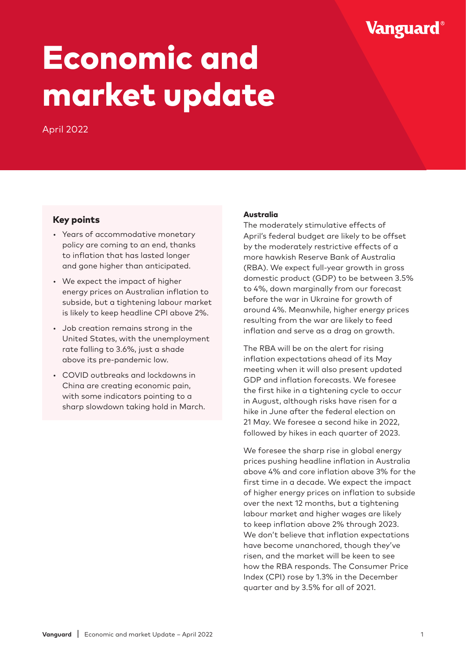# Vanguard®

# Economic and market update

April 2022

# Key points

- Years of accommodative monetary policy are coming to an end, thanks to inflation that has lasted longer and gone higher than anticipated.
- We expect the impact of higher energy prices on Australian inflation to subside, but a tightening labour market is likely to keep headline CPI above 2%.
- Job creation remains strong in the United States, with the unemployment rate falling to 3.6%, just a shade above its pre-pandemic low.
- COVID outbreaks and lockdowns in China are creating economic pain, with some indicators pointing to a sharp slowdown taking hold in March.

### Australia

The moderately stimulative effects of April's federal budget are likely to be offset by the moderately restrictive effects of a more hawkish Reserve Bank of Australia (RBA). We expect full-year growth in gross domestic product (GDP) to be between 3.5% to 4%, down marginally from our forecast before the war in Ukraine for growth of around 4%. Meanwhile, higher energy prices resulting from the war are likely to feed inflation and serve as a drag on growth.

The RBA will be on the alert for rising inflation expectations ahead of its May meeting when it will also present updated GDP and inflation forecasts. We foresee the first hike in a tightening cycle to occur in August, although risks have risen for a hike in June after the federal election on 21 May. We foresee a second hike in 2022, followed by hikes in each quarter of 2023.

We foresee the sharp rise in global energy prices pushing headline inflation in Australia above 4% and core inflation above 3% for the first time in a decade. We expect the impact of higher energy prices on inflation to subside over the next 12 months, but a tightening labour market and higher wages are likely to keep inflation above 2% through 2023. We don't believe that inflation expectations have become unanchored, though they've risen, and the market will be keen to see how the RBA responds. The Consumer Price Index (CPI) rose by 1.3% in the December quarter and by 3.5% for all of 2021.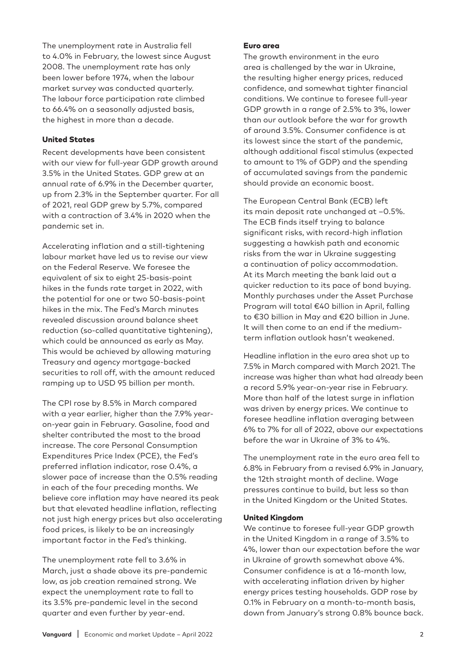The unemployment rate in Australia fell to 4.0% in February, the lowest since August 2008. The unemployment rate has only been lower before 1974, when the labour market survey was conducted quarterly. The labour force participation rate climbed to 66.4% on a seasonally adjusted basis, the highest in more than a decade.

#### United States

Recent developments have been consistent with our view for full-year GDP growth around 3.5% in the United States. GDP grew at an annual rate of 6.9% in the December quarter, up from 2.3% in the September quarter. For all of 2021, real GDP grew by 5.7%, compared with a contraction of 3.4% in 2020 when the pandemic set in.

Accelerating inflation and a still-tightening labour market have led us to revise our view on the Federal Reserve. We foresee the equivalent of six to eight 25-basis-point hikes in the funds rate target in 2022, with the potential for one or two 50-basis-point hikes in the mix. The Fed's March minutes revealed discussion around balance sheet reduction (so-called quantitative tightening), which could be announced as early as May. This would be achieved by allowing maturing Treasury and agency mortgage-backed securities to roll off, with the amount reduced ramping up to USD 95 billion per month.

The CPI rose by 8.5% in March compared with a year earlier, higher than the 7.9% yearon-year gain in February. Gasoline, food and shelter contributed the most to the broad increase. The core Personal Consumption Expenditures Price Index (PCE), the Fed's preferred inflation indicator, rose 0.4%, a slower pace of increase than the 0.5% reading in each of the four preceding months. We believe core inflation may have neared its peak but that elevated headline inflation, reflecting not just high energy prices but also accelerating food prices, is likely to be an increasingly important factor in the Fed's thinking.

The unemployment rate fell to 3.6% in March, just a shade above its pre-pandemic low, as job creation remained strong. We expect the unemployment rate to fall to its 3.5% pre-pandemic level in the second quarter and even further by year-end.

#### Euro area

The growth environment in the euro area is challenged by the war in Ukraine, the resulting higher energy prices, reduced confidence, and somewhat tighter financial conditions. We continue to foresee full-year GDP growth in a range of 2.5% to 3%, lower than our outlook before the war for growth of around 3.5%. Consumer confidence is at its lowest since the start of the pandemic, although additional fiscal stimulus (expected to amount to 1% of GDP) and the spending of accumulated savings from the pandemic should provide an economic boost.

The European Central Bank (ECB) left its main deposit rate unchanged at –0.5%. The ECB finds itself trying to balance significant risks, with record-high inflation suggesting a hawkish path and economic risks from the war in Ukraine suggesting a continuation of policy accommodation. At its March meeting the bank laid out a quicker reduction to its pace of bond buying. Monthly purchases under the Asset Purchase Program will total €40 billion in April, falling to €30 billion in May and €20 billion in June. It will then come to an end if the mediumterm inflation outlook hasn't weakened.

Headline inflation in the euro area shot up to 7.5% in March compared with March 2021. The increase was higher than what had already been a record 5.9% year-on-year rise in February. More than half of the latest surge in inflation was driven by energy prices. We continue to foresee headline inflation averaging between 6% to 7% for all of 2022, above our expectations before the war in Ukraine of 3% to 4%.

The unemployment rate in the euro area fell to 6.8% in February from a revised 6.9% in January, the 12th straight month of decline. Wage pressures continue to build, but less so than in the United Kingdom or the United States.

#### United Kingdom

We continue to foresee full-year GDP growth in the United Kingdom in a range of 3.5% to 4%, lower than our expectation before the war in Ukraine of growth somewhat above 4%. Consumer confidence is at a 16-month low, with accelerating inflation driven by higher energy prices testing households. GDP rose by 0.1% in February on a month-to-month basis, down from January's strong 0.8% bounce back.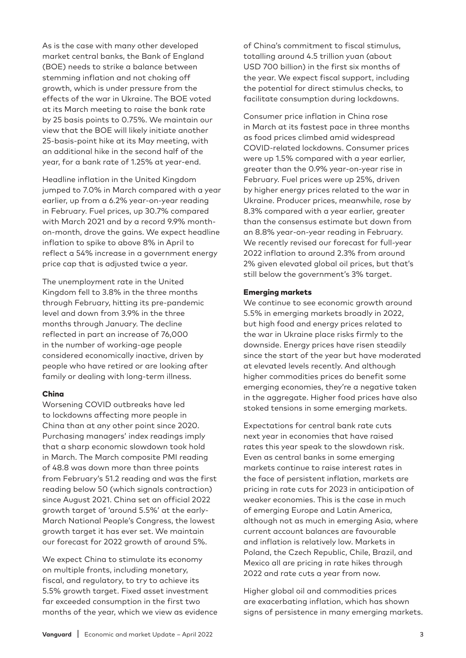As is the case with many other developed market central banks, the Bank of England (BOE) needs to strike a balance between stemming inflation and not choking off growth, which is under pressure from the effects of the war in Ukraine. The BOE voted at its March meeting to raise the bank rate by 25 basis points to 0.75%. We maintain our view that the BOE will likely initiate another 25-basis-point hike at its May meeting, with an additional hike in the second half of the year, for a bank rate of 1.25% at year-end.

Headline inflation in the United Kingdom jumped to 7.0% in March compared with a year earlier, up from a 6.2% year-on-year reading in February. Fuel prices, up 30.7% compared with March 2021 and by a record 9.9% monthon-month, drove the gains. We expect headline inflation to spike to above 8% in April to reflect a 54% increase in a government energy price cap that is adjusted twice a year.

The unemployment rate in the United Kingdom fell to 3.8% in the three months through February, hitting its pre-pandemic level and down from 3.9% in the three months through January. The decline reflected in part an increase of 76,000 in the number of working-age people considered economically inactive, driven by people who have retired or are looking after family or dealing with long-term illness.

#### China

Worsening COVID outbreaks have led to lockdowns affecting more people in China than at any other point since 2020. Purchasing managers' index readings imply that a sharp economic slowdown took hold in March. The March composite PMI reading of 48.8 was down more than three points from February's 51.2 reading and was the first reading below 50 (which signals contraction) since August 2021. China set an official 2022 growth target of 'around 5.5%' at the early-March National People's Congress, the lowest growth target it has ever set. We maintain our forecast for 2022 growth of around 5%.

We expect China to stimulate its economy on multiple fronts, including monetary, fiscal, and regulatory, to try to achieve its 5.5% growth target. Fixed asset investment far exceeded consumption in the first two months of the year, which we view as evidence of China's commitment to fiscal stimulus, totalling around 4.5 trillion yuan (about USD 700 billion) in the first six months of the year. We expect fiscal support, including the potential for direct stimulus checks, to facilitate consumption during lockdowns.

Consumer price inflation in China rose in March at its fastest pace in three months as food prices climbed amid widespread COVID-related lockdowns. Consumer prices were up 1.5% compared with a year earlier, greater than the 0.9% year-on-year rise in February. Fuel prices were up 25%, driven by higher energy prices related to the war in Ukraine. Producer prices, meanwhile, rose by 8.3% compared with a year earlier, greater than the consensus estimate but down from an 8.8% year-on-year reading in February. We recently revised our forecast for full-year 2022 inflation to around 2.3% from around 2% given elevated global oil prices, but that's still below the government's 3% target.

#### Emerging markets

We continue to see economic growth around 5.5% in emerging markets broadly in 2022, but high food and energy prices related to the war in Ukraine place risks firmly to the downside. Energy prices have risen steadily since the start of the year but have moderated at elevated levels recently. And although higher commodities prices do benefit some emerging economies, they're a negative taken in the aggregate. Higher food prices have also stoked tensions in some emerging markets.

Expectations for central bank rate cuts next year in economies that have raised rates this year speak to the slowdown risk. Even as central banks in some emerging markets continue to raise interest rates in the face of persistent inflation, markets are pricing in rate cuts for 2023 in anticipation of weaker economies. This is the case in much of emerging Europe and Latin America, although not as much in emerging Asia, where current account balances are favourable and inflation is relatively low. Markets in Poland, the Czech Republic, Chile, Brazil, and Mexico all are pricing in rate hikes through 2022 and rate cuts a year from now.

Higher global oil and commodities prices are exacerbating inflation, which has shown signs of persistence in many emerging markets.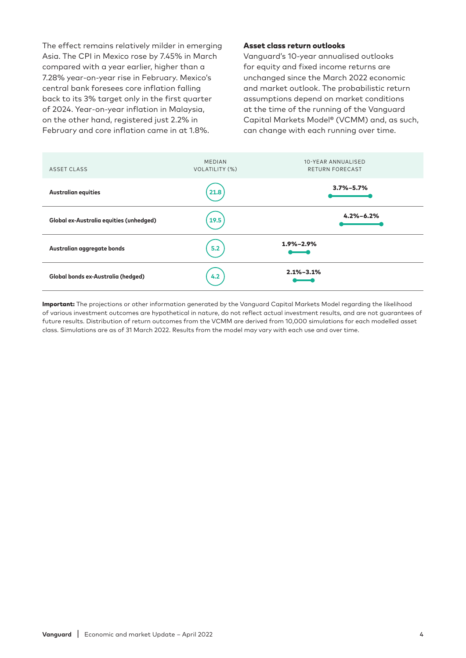The effect remains relatively milder in emerging Asia. The CPI in Mexico rose by 7.45% in March compared with a year earlier, higher than a 7.28% year-on-year rise in February. Mexico's central bank foresees core inflation falling back to its 3% target only in the first quarter of 2024. Year-on-year inflation in Malaysia, on the other hand, registered just 2.2% in February and core inflation came in at 1.8%.

#### Asset class return outlooks

Vanguard's 10-year annualised outlooks for equity and fixed income returns are unchanged since the March 2022 economic and market outlook. The probabilistic return assumptions depend on market conditions at the time of the running of the Vanguard Capital Markets Model® (VCMM) and, as such, can change with each running over time.

| ASSET CLASS                             | <b>MEDIAN</b><br>VOLATILITY (%) | 10-YEAR ANNUALISED<br><b>RETURN FORECAST</b> |
|-----------------------------------------|---------------------------------|----------------------------------------------|
| <b>Australian equities</b>              | 21.8                            | $3.7\% - 5.7\%$                              |
| Global ex-Australia equities (unhedged) | 19.5                            | $4.2\% - 6.2\%$                              |
| Australian aggregate bonds              | 5.2                             | $1.9\% - 2.9\%$                              |
| Global bonds ex-Australia (hedged)      | 4.2                             | $2.1\% - 3.1\%$                              |

Important: The projections or other information generated by the Vanguard Capital Markets Model regarding the likelihood of various investment outcomes are hypothetical in nature, do not reflect actual investment results, and are not guarantees of future results. Distribution of return outcomes from the VCMM are derived from 10,000 simulations for each modelled asset class. Simulations are as of 31 March 2022. Results from the model may vary with each use and over time.